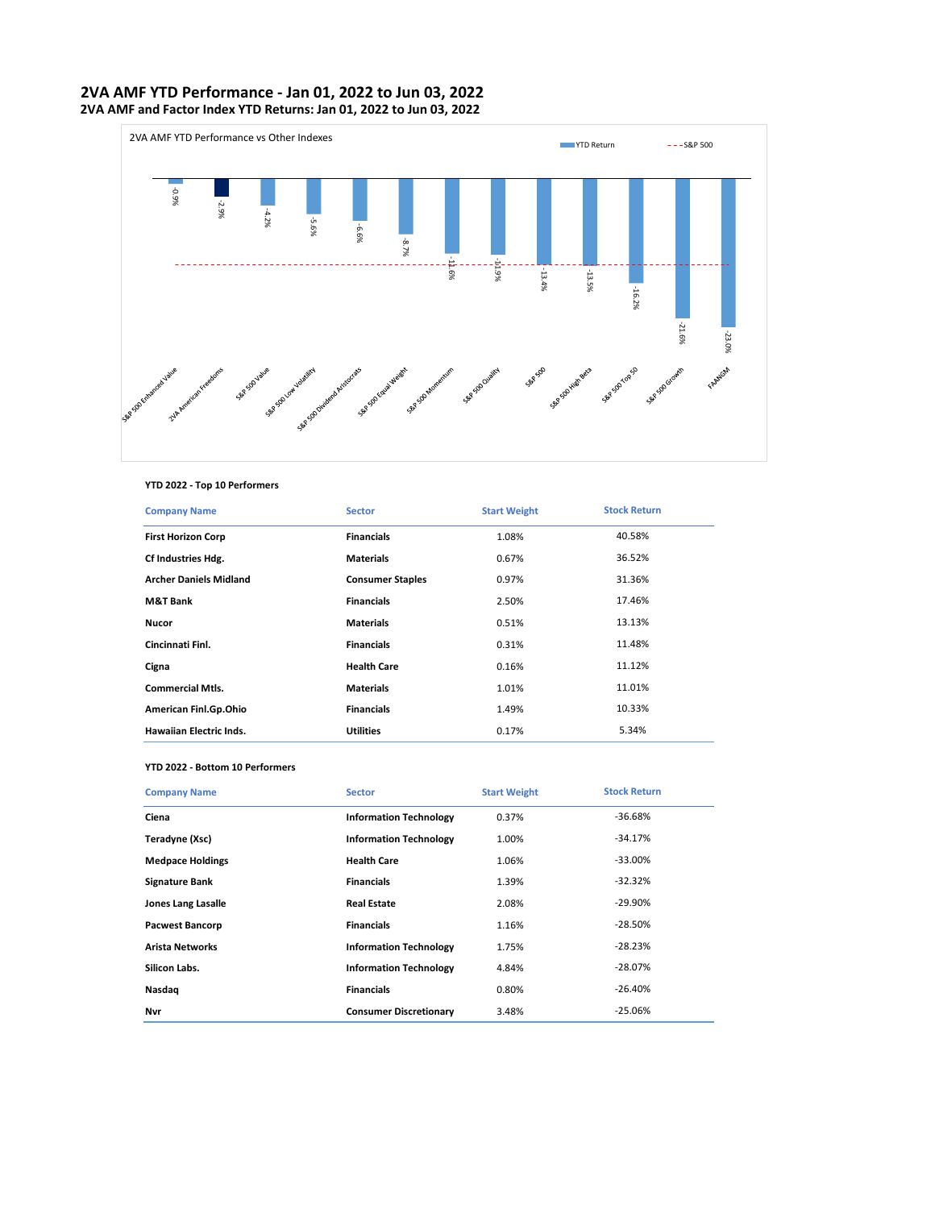## **2VA AMF YTD Performance - Jan 01, 2022 to Jun 03, 2022 2VA AMF and Factor Index YTD Returns: Jan 01, 2022 to Jun 03, 2022**



### **YTD 2022 - Top 10 Performers**

| <b>Company Name</b>            | <b>Sector</b>           | <b>Start Weight</b> | <b>Stock Return</b> |
|--------------------------------|-------------------------|---------------------|---------------------|
| <b>First Horizon Corp</b>      | <b>Financials</b>       | 1.08%               | 40.58%              |
| Cf Industries Hdg.             | <b>Materials</b>        | 0.67%               | 36.52%              |
| <b>Archer Daniels Midland</b>  | <b>Consumer Staples</b> | 0.97%               | 31.36%              |
| <b>M&amp;T Bank</b>            | <b>Financials</b>       | 2.50%               | 17.46%              |
| <b>Nucor</b>                   | <b>Materials</b>        | 0.51%               | 13.13%              |
| Cincinnati Finl.               | <b>Financials</b>       | 0.31%               | 11.48%              |
| Cigna                          | <b>Health Care</b>      | 0.16%               | 11.12%              |
| <b>Commercial Mtls.</b>        | <b>Materials</b>        | 1.01%               | 11.01%              |
| American Finl.Gp.Ohio          | <b>Financials</b>       | 1.49%               | 10.33%              |
| <b>Hawaiian Electric Inds.</b> | <b>Utilities</b>        | 0.17%               | 5.34%               |

#### **YTD 2022 - Bottom 10 Performers**

| <b>Company Name</b>       | <b>Sector</b>                 | <b>Start Weight</b> | <b>Stock Return</b> |
|---------------------------|-------------------------------|---------------------|---------------------|
| Ciena                     | <b>Information Technology</b> | 0.37%               | $-36.68%$           |
| Teradyne (Xsc)            | <b>Information Technology</b> | 1.00%               | $-34.17%$           |
| <b>Medpace Holdings</b>   | <b>Health Care</b>            | 1.06%               | $-33.00\%$          |
| <b>Signature Bank</b>     | <b>Financials</b>             | 1.39%               | $-32.32%$           |
| <b>Jones Lang Lasalle</b> | <b>Real Estate</b>            | 2.08%               | $-29.90\%$          |
| <b>Pacwest Bancorp</b>    | <b>Financials</b>             | 1.16%               | $-28.50%$           |
| <b>Arista Networks</b>    | <b>Information Technology</b> | 1.75%               | $-28.23%$           |
| Silicon Labs.             | <b>Information Technology</b> | 4.84%               | $-28.07%$           |
| Nasdag                    | <b>Financials</b>             | 0.80%               | $-26.40%$           |
| Nvr                       | <b>Consumer Discretionary</b> | 3.48%               | $-25.06%$           |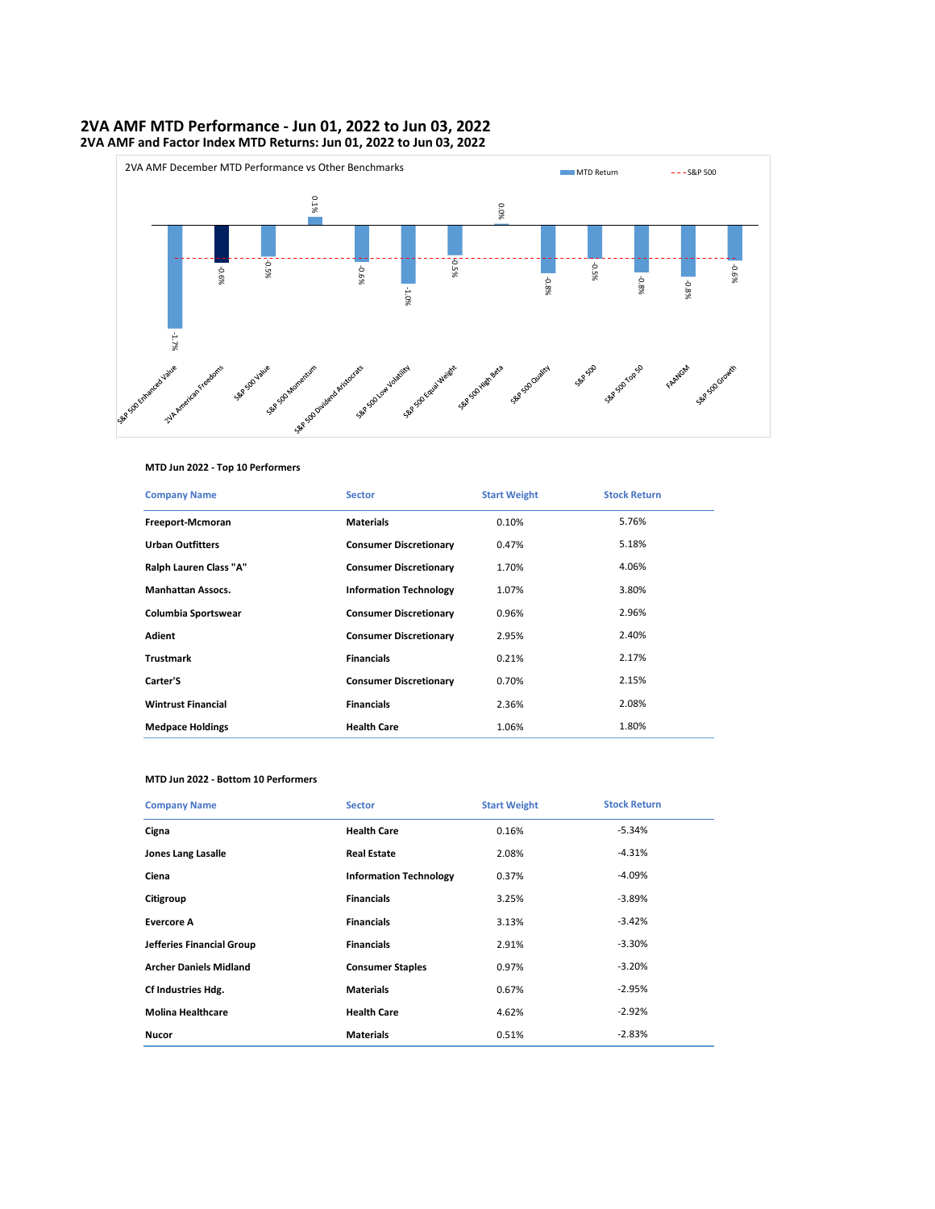# **2VA AMF MTD Performance - Jun 01, 2022 to Jun 03, 2022 2VA AMF and Factor Index MTD Returns: Jun 01, 2022 to Jun 03, 2022**



### **MTD Jun 2022 - Top 10 Performers**

| <b>Company Name</b>       | <b>Sector</b>                 | <b>Start Weight</b> | <b>Stock Return</b> |
|---------------------------|-------------------------------|---------------------|---------------------|
| Freeport-Mcmoran          | <b>Materials</b>              | 0.10%               | 5.76%               |
| <b>Urban Outfitters</b>   | <b>Consumer Discretionary</b> | 0.47%               | 5.18%               |
| Ralph Lauren Class "A"    | <b>Consumer Discretionary</b> | 1.70%               | 4.06%               |
| <b>Manhattan Assocs.</b>  | <b>Information Technology</b> | 1.07%               | 3.80%               |
| Columbia Sportswear       | <b>Consumer Discretionary</b> | 0.96%               | 2.96%               |
| Adient                    | <b>Consumer Discretionary</b> | 2.95%               | 2.40%               |
| <b>Trustmark</b>          | <b>Financials</b>             | 0.21%               | 2.17%               |
| Carter'S                  | <b>Consumer Discretionary</b> | 0.70%               | 2.15%               |
| <b>Wintrust Financial</b> | <b>Financials</b>             | 2.36%               | 2.08%               |
| <b>Medpace Holdings</b>   | <b>Health Care</b>            | 1.06%               | 1.80%               |

#### **MTD Jun 2022 - Bottom 10 Performers**

| <b>Company Name</b>           | <b>Sector</b>                 | <b>Start Weight</b> | <b>Stock Return</b> |
|-------------------------------|-------------------------------|---------------------|---------------------|
| Cigna                         | <b>Health Care</b>            | 0.16%               | $-5.34%$            |
| <b>Jones Lang Lasalle</b>     | <b>Real Estate</b>            | 2.08%               | $-4.31%$            |
| Ciena                         | <b>Information Technology</b> | 0.37%               | $-4.09%$            |
| Citigroup                     | <b>Financials</b>             | 3.25%               | $-3.89%$            |
| <b>Evercore A</b>             | <b>Financials</b>             | 3.13%               | $-3.42%$            |
| Jefferies Financial Group     | <b>Financials</b>             | 2.91%               | $-3.30%$            |
| <b>Archer Daniels Midland</b> | <b>Consumer Staples</b>       | 0.97%               | $-3.20%$            |
| Cf Industries Hdg.            | <b>Materials</b>              | 0.67%               | $-2.95%$            |
| <b>Molina Healthcare</b>      | <b>Health Care</b>            | 4.62%               | $-2.92%$            |
| <b>Nucor</b>                  | <b>Materials</b>              | 0.51%               | $-2.83%$            |